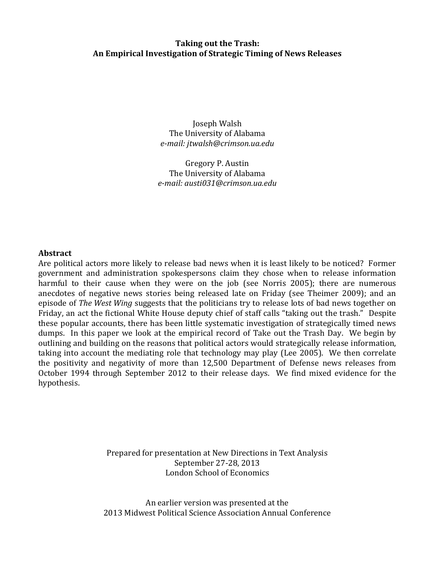# **Taking out the Trash: An Empirical Investigation of Strategic Timing of News Releases**

Joseph Walsh The University of Alabama *e-mail: jtwalsh@crimson.ua.edu*

Gregory P. Austin The University of Alabama *e-mail: austi031@crimson.ua.edu*

## **Abstract**

Are political actors more likely to release bad news when it is least likely to be noticed? Former government and administration spokespersons claim they chose when to release information harmful to their cause when they were on the job (see Norris 2005); there are numerous anecdotes of negative news stories being released late on Friday (see Theimer 2009); and an episode of *The West Wing* suggests that the politicians try to release lots of bad news together on Friday, an act the fictional White House deputy chief of staff calls "taking out the trash." Despite these popular accounts, there has been little systematic investigation of strategically timed news dumps. In this paper we look at the empirical record of Take out the Trash Day. We begin by outlining and building on the reasons that political actors would strategically release information, taking into account the mediating role that technology may play (Lee 2005). We then correlate the positivity and negativity of more than 12,500 Department of Defense news releases from October 1994 through September 2012 to their release days. We find mixed evidence for the hypothesis.

> Prepared for presentation at New Directions in Text Analysis September 27-28, 2013 London School of Economics

An earlier version was presented at the 2013 Midwest Political Science Association Annual Conference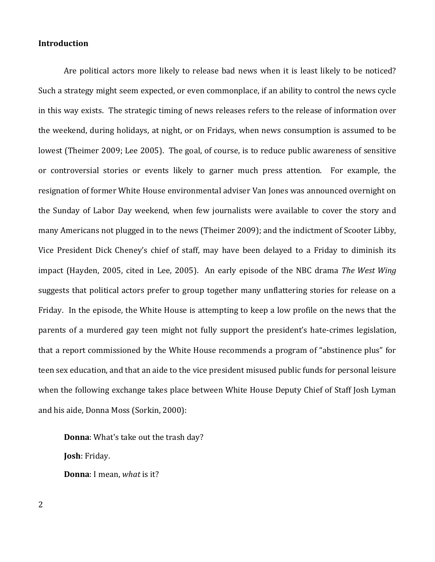# **Introduction**

Are political actors more likely to release bad news when it is least likely to be noticed? Such a strategy might seem expected, or even commonplace, if an ability to control the news cycle in this way exists. The strategic timing of news releases refers to the release of information over the weekend, during holidays, at night, or on Fridays, when news consumption is assumed to be lowest (Theimer 2009; Lee 2005). The goal, of course, is to reduce public awareness of sensitive or controversial stories or events likely to garner much press attention. For example, the resignation of former White House environmental adviser Van Jones was announced overnight on the Sunday of Labor Day weekend, when few journalists were available to cover the story and many Americans not plugged in to the news (Theimer 2009); and the indictment of Scooter Libby, Vice President Dick Cheney's chief of staff, may have been delayed to a Friday to diminish its impact (Hayden, 2005, cited in Lee, 2005). An early episode of the NBC drama *The West Wing* suggests that political actors prefer to group together many unflattering stories for release on a Friday. In the episode, the White House is attempting to keep a low profile on the news that the parents of a murdered gay teen might not fully support the president's hate-crimes legislation, that a report commissioned by the White House recommends a program of "abstinence plus" for teen sex education, and that an aide to the vice president misused public funds for personal leisure when the following exchange takes place between White House Deputy Chief of Staff Josh Lyman and his aide, Donna Moss (Sorkin, 2000):

**Donna**: What's take out the trash day? **Josh**: Friday. **Donna**: I mean, *what* is it?

2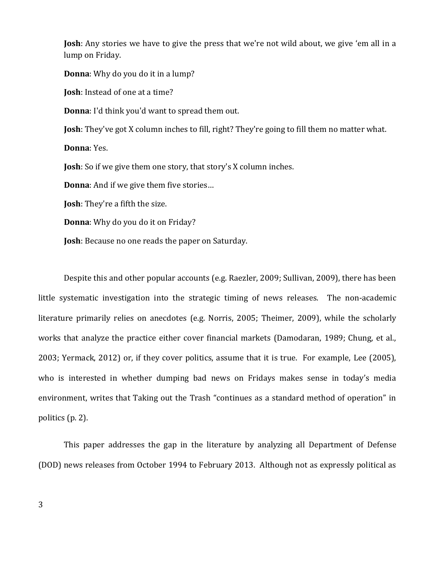**Josh**: Any stories we have to give the press that we're not wild about, we give 'em all in a lump on Friday.

**Donna**: Why do you do it in a lump?

**Josh**: Instead of one at a time?

**Donna**: I'd think you'd want to spread them out.

**Josh**: They've got X column inches to fill, right? They're going to fill them no matter what.

**Donna**: Yes.

**Josh**: So if we give them one story, that story's X column inches.

**Donna**: And if we give them five stories…

**Josh**: They're a fifth the size.

**Donna**: Why do you do it on Friday?

**Josh**: Because no one reads the paper on Saturday.

Despite this and other popular accounts (e.g. Raezler, 2009; Sullivan, 2009), there has been little systematic investigation into the strategic timing of news releases. The non-academic literature primarily relies on anecdotes (e.g. Norris, 2005; Theimer, 2009), while the scholarly works that analyze the practice either cover financial markets (Damodaran, 1989; Chung, et al., 2003; Yermack, 2012) or, if they cover politics, assume that it is true. For example, Lee (2005), who is interested in whether dumping bad news on Fridays makes sense in today's media environment, writes that Taking out the Trash "continues as a standard method of operation" in politics (p. 2).

This paper addresses the gap in the literature by analyzing all Department of Defense (DOD) news releases from October 1994 to February 2013. Although not as expressly political as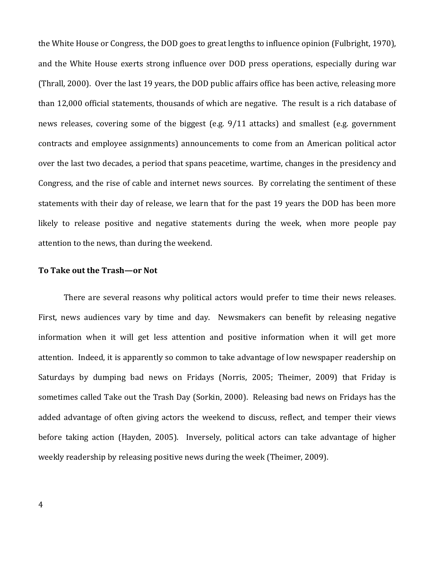the White House or Congress, the DOD goes to great lengths to influence opinion (Fulbright, 1970), and the White House exerts strong influence over DOD press operations, especially during war (Thrall, 2000). Over the last 19 years, the DOD public affairs office has been active, releasing more than 12,000 official statements, thousands of which are negative. The result is a rich database of news releases, covering some of the biggest (e.g. 9/11 attacks) and smallest (e.g. government contracts and employee assignments) announcements to come from an American political actor over the last two decades, a period that spans peacetime, wartime, changes in the presidency and Congress, and the rise of cable and internet news sources. By correlating the sentiment of these statements with their day of release, we learn that for the past 19 years the DOD has been more likely to release positive and negative statements during the week, when more people pay attention to the news, than during the weekend.

# **To Take out the Trash—or Not**

There are several reasons why political actors would prefer to time their news releases. First, news audiences vary by time and day. Newsmakers can benefit by releasing negative information when it will get less attention and positive information when it will get more attention. Indeed, it is apparently so common to take advantage of low newspaper readership on Saturdays by dumping bad news on Fridays (Norris, 2005; Theimer, 2009) that Friday is sometimes called Take out the Trash Day (Sorkin, 2000). Releasing bad news on Fridays has the added advantage of often giving actors the weekend to discuss, reflect, and temper their views before taking action (Hayden, 2005). Inversely, political actors can take advantage of higher weekly readership by releasing positive news during the week (Theimer, 2009).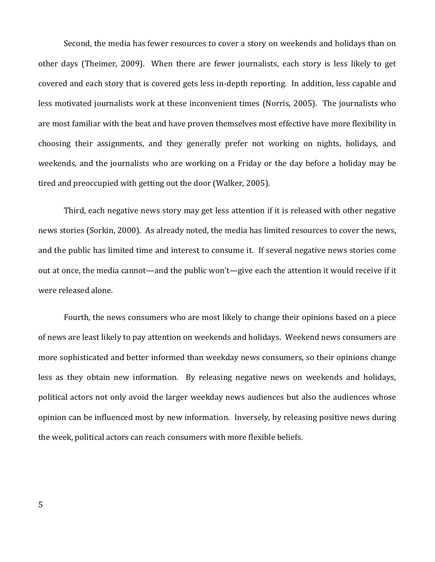Second, the media has fewer resources to cover a story on weekends and holidays than on other days (Theimer, 2009). When there are fewer journalists, each story is less likely to get covered and each story that is covered gets less in-depth reporting. In addition, less capable and less motivated journalists work at these inconvenient times (Norris, 2005). The journalists who are most familiar with the beat and have proven themselves most effective have more flexibility in choosing their assignments, and they generally prefer not working on nights, holidays, and weekends, and the journalists who are working on a Friday or the day before a holiday may be tired and preoccupied with getting out the door (Walker, 2005).

Third, each negative news story may get less attention if it is released with other negative news stories (Sorkin, 2000). As already noted, the media has limited resources to cover the news, and the public has limited time and interest to consume it. If several negative news stories come out at once, the media cannot—and the public won't—give each the attention it would receive if it were released alone.

Fourth, the news consumers who are most likely to change their opinions based on a piece of news are least likely to pay attention on weekends and holidays. Weekend news consumers are more sophisticated and better informed than weekday news consumers, so their opinions change less as they obtain new information. By releasing negative news on weekends and holidays, political actors not only avoid the larger weekday news audiences but also the audiences whose opinion can be influenced most by new information. Inversely, by releasing positive news during the week, political actors can reach consumers with more flexible beliefs.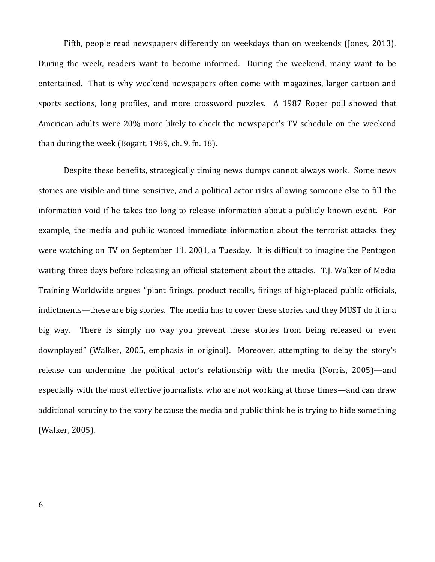Fifth, people read newspapers differently on weekdays than on weekends (Jones, 2013). During the week, readers want to become informed. During the weekend, many want to be entertained. That is why weekend newspapers often come with magazines, larger cartoon and sports sections, long profiles, and more crossword puzzles. A 1987 Roper poll showed that American adults were 20% more likely to check the newspaper's TV schedule on the weekend than during the week (Bogart, 1989, ch. 9, fn. 18).

Despite these benefits, strategically timing news dumps cannot always work. Some news stories are visible and time sensitive, and a political actor risks allowing someone else to fill the information void if he takes too long to release information about a publicly known event. For example, the media and public wanted immediate information about the terrorist attacks they were watching on TV on September 11, 2001, a Tuesday. It is difficult to imagine the Pentagon waiting three days before releasing an official statement about the attacks. T.J. Walker of Media Training Worldwide argues "plant firings, product recalls, firings of high-placed public officials, indictments—these are big stories. The media has to cover these stories and they MUST do it in a big way. There is simply no way you prevent these stories from being released or even downplayed" (Walker, 2005, emphasis in original). Moreover, attempting to delay the story's release can undermine the political actor's relationship with the media (Norris, 2005)—and especially with the most effective journalists, who are not working at those times—and can draw additional scrutiny to the story because the media and public think he is trying to hide something (Walker, 2005).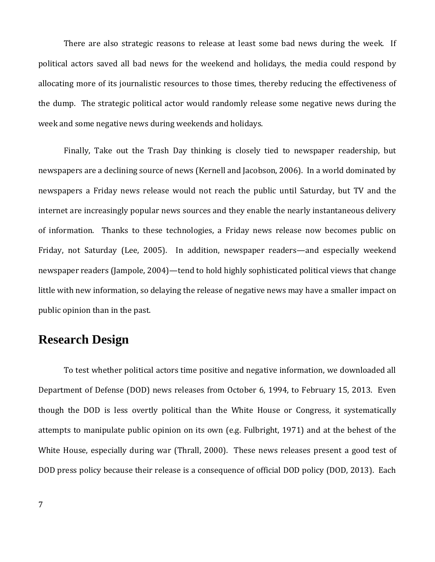There are also strategic reasons to release at least some bad news during the week. If political actors saved all bad news for the weekend and holidays, the media could respond by allocating more of its journalistic resources to those times, thereby reducing the effectiveness of the dump. The strategic political actor would randomly release some negative news during the week and some negative news during weekends and holidays.

Finally, Take out the Trash Day thinking is closely tied to newspaper readership, but newspapers are a declining source of news (Kernell and Jacobson, 2006). In a world dominated by newspapers a Friday news release would not reach the public until Saturday, but TV and the internet are increasingly popular news sources and they enable the nearly instantaneous delivery of information. Thanks to these technologies, a Friday news release now becomes public on Friday, not Saturday (Lee, 2005). In addition, newspaper readers—and especially weekend newspaper readers (Jampole, 2004)—tend to hold highly sophisticated political views that change little with new information, so delaying the release of negative news may have a smaller impact on public opinion than in the past.

# **Research Design**

To test whether political actors time positive and negative information, we downloaded all Department of Defense (DOD) news releases from October 6, 1994, to February 15, 2013. Even though the DOD is less overtly political than the White House or Congress, it systematically attempts to manipulate public opinion on its own (e.g. Fulbright, 1971) and at the behest of the White House, especially during war (Thrall, 2000). These news releases present a good test of DOD press policy because their release is a consequence of official DOD policy (DOD, 2013). Each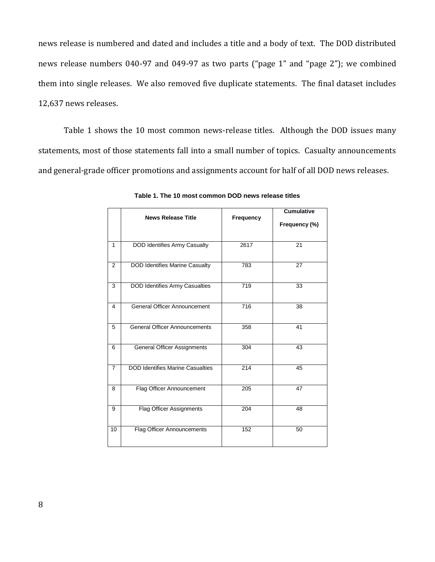news release is numbered and dated and includes a title and a body of text. The DOD distributed news release numbers 040-97 and 049-97 as two parts ("page 1" and "page 2"); we combined them into single releases. We also removed five duplicate statements. The final dataset includes 12,637 news releases.

Table 1 shows the 10 most common news-release titles. Although the DOD issues many statements, most of those statements fall into a small number of topics. Casualty announcements and general-grade officer promotions and assignments account for half of all DOD news releases.

|                | <b>News Release Title</b>               | Frequency        | <b>Cumulative</b> |  |
|----------------|-----------------------------------------|------------------|-------------------|--|
|                |                                         |                  | Frequency (%)     |  |
| 1              | <b>DOD Identifies Army Casualty</b>     | 2617             | 21                |  |
| $\overline{2}$ | <b>DOD Identifies Marine Casualty</b>   | 783              | 27                |  |
| 3              | <b>DOD Identifies Army Casualties</b>   | 719              | 33                |  |
| 4              | <b>General Officer Announcement</b>     | $\overline{716}$ | 38                |  |
| $\overline{5}$ | <b>General Officer Announcements</b>    | 358              | 41                |  |
| 6              | General Officer Assignments             | 304              | 43                |  |
| $\overline{7}$ | <b>DOD Identifies Marine Casualties</b> | 214              | 45                |  |
| 8              | Flag Officer Announcement               | 205              | 47                |  |
| 9              | <b>Flag Officer Assignments</b>         | 204              | 48                |  |
| 10             | <b>Flag Officer Announcements</b>       | 152              | 50                |  |

**Table 1. The 10 most common DOD news release titles**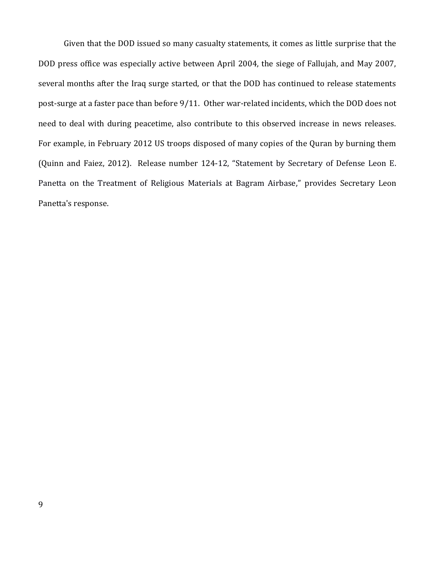Given that the DOD issued so many casualty statements, it comes as little surprise that the DOD press office was especially active between April 2004, the siege of Fallujah, and May 2007, several months after the Iraq surge started, or that the DOD has continued to release statements post-surge at a faster pace than before 9/11. Other war-related incidents, which the DOD does not need to deal with during peacetime, also contribute to this observed increase in news releases. For example, in February 2012 US troops disposed of many copies of the Quran by burning them (Quinn and Faiez, 2012). Release number 124-12, "Statement by Secretary of Defense Leon E. Panetta on the Treatment of Religious Materials at Bagram Airbase," provides Secretary Leon Panetta's response.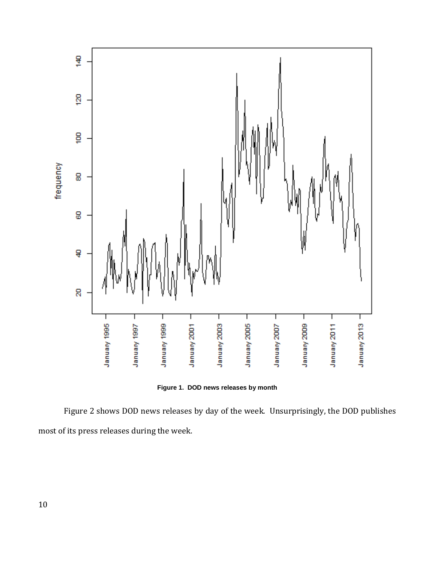

**Figure 1. DOD news releases by month**

Figure 2 shows DOD news releases by day of the week. Unsurprisingly, the DOD publishes most of its press releases during the week.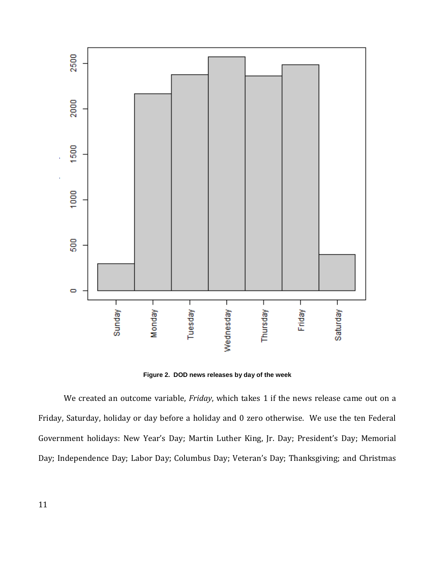

**Figure 2. DOD news releases by day of the week**

We created an outcome variable, *Friday*, which takes 1 if the news release came out on a Friday, Saturday, holiday or day before a holiday and 0 zero otherwise. We use the ten Federal Government holidays: New Year's Day; Martin Luther King, Jr. Day; President's Day; Memorial Day; Independence Day; Labor Day; Columbus Day; Veteran's Day; Thanksgiving; and Christmas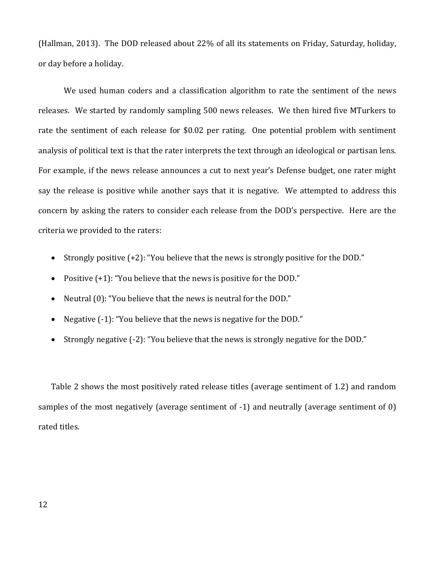(Hallman, 2013). The DOD released about 22% of all its statements on Friday, Saturday, holiday, or day before a holiday.

We used human coders and a classification algorithm to rate the sentiment of the news releases. We started by randomly sampling 500 news releases. We then hired five MTurkers to rate the sentiment of each release for \$0.02 per rating. One potential problem with sentiment analysis of political text is that the rater interprets the text through an ideological or partisan lens. For example, if the news release announces a cut to next year's Defense budget, one rater might say the release is positive while another says that it is negative. We attempted to address this concern by asking the raters to consider each release from the DOD's perspective. Here are the criteria we provided to the raters:

- Strongly positive (+2): "You believe that the news is strongly positive for the DOD."
- Positive  $(+1)$ : "You believe that the news is positive for the DOD."
- Neutral (0): "You believe that the news is neutral for the DOD."
- Negative (-1): "You believe that the news is negative for the DOD."
- Strongly negative (-2): "You believe that the news is strongly negative for the DOD."

Table 2 shows the most positively rated release titles (average sentiment of 1.2) and random samples of the most negatively (average sentiment of -1) and neutrally (average sentiment of 0) rated titles.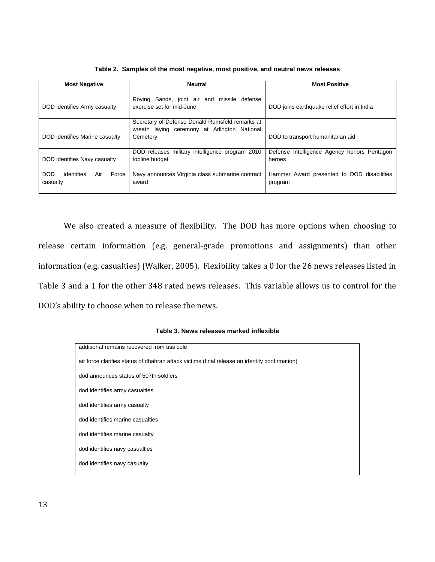| <b>Most Negative</b>                          | Neutral                                                                                                     | <b>Most Positive</b>                                  |  |  |
|-----------------------------------------------|-------------------------------------------------------------------------------------------------------------|-------------------------------------------------------|--|--|
| DOD identifies Army casualty                  | Roving Sands, joint air and missile<br>defense<br>exercise set for mid-June                                 | DOD joins earthquake relief effort in India           |  |  |
| DOD identifies Marine casualty                | Secretary of Defense Donald Rumsfeld remarks at<br>wreath laying ceremony at Arlington National<br>Cemetery | DOD to transport humanitarian aid                     |  |  |
| DOD identifies Navy casualty                  | DOD releases military intelligence program 2010<br>topline budget                                           | Defense Intelligence Agency honors Pentagon<br>heroes |  |  |
| DOD<br>identifies<br>Force<br>Air<br>casualty | Navy announces Virginia class submarine contract<br>award                                                   | Hammer Award presented to DOD disabilities<br>program |  |  |

**Table 2. Samples of the most negative, most positive, and neutral news releases**

We also created a measure of flexibility. The DOD has more options when choosing to release certain information (e.g. general-grade promotions and assignments) than other information (e.g. casualties) (Walker, 2005). Flexibility takes a 0 for the 26 news releases listed in Table 3 and a 1 for the other 348 rated news releases. This variable allows us to control for the DOD's ability to choose when to release the news.

#### **Table 3. News releases marked inflexible**

| additional remains recovered from uss cole                                                    |  |  |  |  |
|-----------------------------------------------------------------------------------------------|--|--|--|--|
| air force clarifies status of dhahran attack victims (final release on identity confirmation) |  |  |  |  |
| dod announces status of 507th soldiers                                                        |  |  |  |  |
| dod identifies army casualties                                                                |  |  |  |  |
| dod identifies army casualty                                                                  |  |  |  |  |
| dod identifies marine casualties                                                              |  |  |  |  |
| dod identifies marine casualty                                                                |  |  |  |  |
| dod identifies navy casualties                                                                |  |  |  |  |
| dod identifies navy casualty                                                                  |  |  |  |  |
|                                                                                               |  |  |  |  |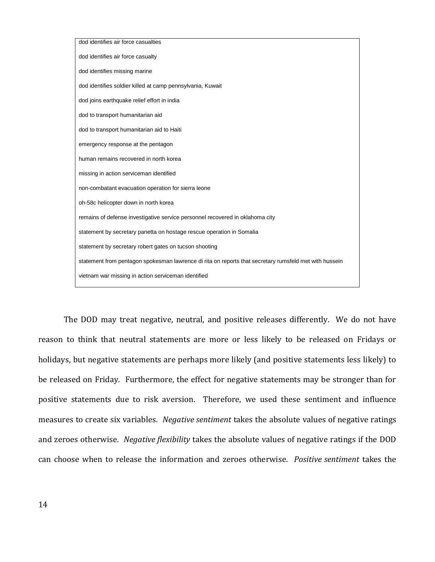| dod identifies air force casualties                                                                    |
|--------------------------------------------------------------------------------------------------------|
| dod identifies air force casualty                                                                      |
| dod identifies missing marine                                                                          |
| dod identifies soldier killed at camp pennsylvania, Kuwait                                             |
| dod joins earthquake relief effort in india                                                            |
| dod to transport humanitarian aid                                                                      |
| dod to transport humanitarian aid to Haiti                                                             |
| emergency response at the pentagon                                                                     |
| human remains recovered in north korea                                                                 |
| missing in action serviceman identified                                                                |
| non-combatant evacuation operation for sierra leone                                                    |
| oh-58c helicopter down in north korea                                                                  |
| remains of defense investigative service personnel recovered in oklahoma city                          |
| statement by secretary panetta on hostage rescue operation in Somalia                                  |
| statement by secretary robert gates on tucson shooting                                                 |
| statement from pentagon spokesman lawrence di rita on reports that secretary rumsfeld met with hussein |
| vietnam war missing in action serviceman identified                                                    |

The DOD may treat negative, neutral, and positive releases differently. We do not have reason to think that neutral statements are more or less likely to be released on Fridays or holidays, but negative statements are perhaps more likely (and positive statements less likely) to be released on Friday. Furthermore, the effect for negative statements may be stronger than for positive statements due to risk aversion. Therefore, we used these sentiment and influence measures to create six variables. *Negative sentiment* takes the absolute values of negative ratings and zeroes otherwise. *Negative flexibility* takes the absolute values of negative ratings if the DOD can choose when to release the information and zeroes otherwise. *Positive sentiment* takes the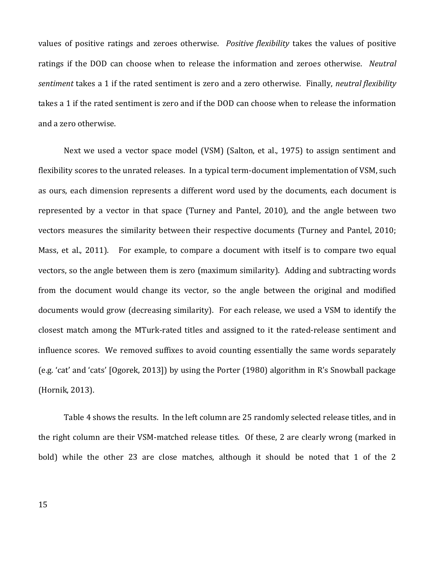values of positive ratings and zeroes otherwise. *Positive flexibility* takes the values of positive ratings if the DOD can choose when to release the information and zeroes otherwise. *Neutral sentiment* takes a 1 if the rated sentiment is zero and a zero otherwise. Finally, *neutral flexibility* takes a 1 if the rated sentiment is zero and if the DOD can choose when to release the information and a zero otherwise.

Next we used a vector space model (VSM) (Salton, et al., 1975) to assign sentiment and flexibility scores to the unrated releases. In a typical term-document implementation of VSM, such as ours, each dimension represents a different word used by the documents, each document is represented by a vector in that space (Turney and Pantel, 2010), and the angle between two vectors measures the similarity between their respective documents (Turney and Pantel, 2010; Mass, et al., 2011). For example, to compare a document with itself is to compare two equal vectors, so the angle between them is zero (maximum similarity). Adding and subtracting words from the document would change its vector, so the angle between the original and modified documents would grow (decreasing similarity). For each release, we used a VSM to identify the closest match among the MTurk-rated titles and assigned to it the rated-release sentiment and influence scores. We removed suffixes to avoid counting essentially the same words separately (e.g. 'cat' and 'cats' [Ogorek, 2013]) by using the Porter (1980) algorithm in R's Snowball package (Hornik, 2013).

Table 4 shows the results. In the left column are 25 randomly selected release titles, and in the right column are their VSM-matched release titles. Of these, 2 are clearly wrong (marked in bold) while the other 23 are close matches, although it should be noted that 1 of the 2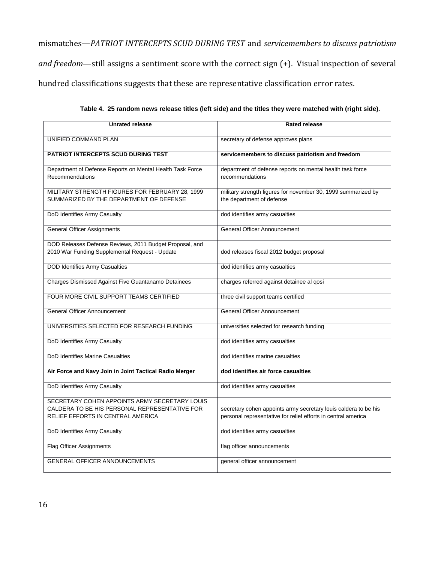mismatches—*PATRIOT INTERCEPTS SCUD DURING TEST* and *servicemembers to discuss patriotism and freedom*—still assigns a sentiment score with the correct sign (+). Visual inspection of several hundred classifications suggests that these are representative classification error rates.

| <b>Unrated release</b>                                                                                                                     | <b>Rated release</b>                                                                                                             |  |  |
|--------------------------------------------------------------------------------------------------------------------------------------------|----------------------------------------------------------------------------------------------------------------------------------|--|--|
| UNIFIED COMMAND PLAN                                                                                                                       | secretary of defense approves plans                                                                                              |  |  |
| <b>PATRIOT INTERCEPTS SCUD DURING TEST</b>                                                                                                 | servicemembers to discuss patriotism and freedom                                                                                 |  |  |
| Department of Defense Reports on Mental Health Task Force<br>Recommendations                                                               | department of defense reports on mental health task force<br>recommendations                                                     |  |  |
| MILITARY STRENGTH FIGURES FOR FEBRUARY 28, 1999<br>SUMMARIZED BY THE DEPARTMENT OF DEFENSE                                                 | military strength figures for november 30, 1999 summarized by<br>the department of defense                                       |  |  |
| DoD Identifies Army Casualty                                                                                                               | dod identifies army casualties                                                                                                   |  |  |
| <b>General Officer Assignments</b>                                                                                                         | <b>General Officer Announcement</b>                                                                                              |  |  |
| DOD Releases Defense Reviews, 2011 Budget Proposal, and<br>2010 War Funding Supplemental Request - Update                                  | dod releases fiscal 2012 budget proposal                                                                                         |  |  |
| <b>DOD Identifies Army Casualties</b>                                                                                                      | dod identifies army casualties                                                                                                   |  |  |
| Charges Dismissed Against Five Guantanamo Detainees                                                                                        | charges referred against detainee al qosi                                                                                        |  |  |
| FOUR MORE CIVIL SUPPORT TEAMS CERTIFIED                                                                                                    | three civil support teams certified                                                                                              |  |  |
| <b>General Officer Announcement</b>                                                                                                        | <b>General Officer Announcement</b>                                                                                              |  |  |
| UNIVERSITIES SELECTED FOR RESEARCH FUNDING                                                                                                 | universities selected for research funding                                                                                       |  |  |
| DoD Identifies Army Casualty                                                                                                               | dod identifies army casualties                                                                                                   |  |  |
| DoD Identifies Marine Casualties                                                                                                           | dod identifies marine casualties                                                                                                 |  |  |
| Air Force and Navy Join in Joint Tactical Radio Merger                                                                                     | dod identifies air force casualties                                                                                              |  |  |
| DoD Identifies Army Casualty                                                                                                               | dod identifies army casualties                                                                                                   |  |  |
| SECRETARY COHEN APPOINTS ARMY SECRETARY LOUIS<br>CALDERA TO BE HIS PERSONAL REPRESENTATIVE FOR<br><b>RELIEF EFFORTS IN CENTRAL AMERICA</b> | secretary cohen appoints army secretary louis caldera to be his<br>personal representative for relief efforts in central america |  |  |
| DoD Identifies Army Casualty                                                                                                               | dod identifies army casualties                                                                                                   |  |  |
| <b>Flag Officer Assignments</b>                                                                                                            | flag officer announcements                                                                                                       |  |  |
| <b>GENERAL OFFICER ANNOUNCEMENTS</b>                                                                                                       | general officer announcement                                                                                                     |  |  |

**Table 4. 25 random news release titles (left side) and the titles they were matched with (right side).**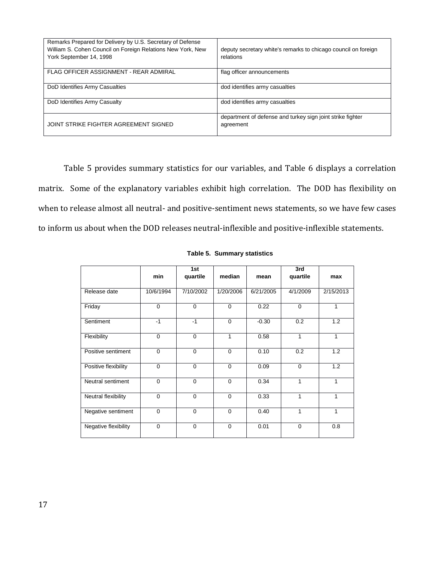| Remarks Prepared for Delivery by U.S. Secretary of Defense<br>William S. Cohen Council on Foreign Relations New York, New<br>York September 14, 1998 | deputy secretary white's remarks to chicago council on foreign<br>relations |
|------------------------------------------------------------------------------------------------------------------------------------------------------|-----------------------------------------------------------------------------|
| FLAG OFFICER ASSIGNMENT - REAR ADMIRAL                                                                                                               | flag officer announcements                                                  |
| DoD Identifies Army Casualties                                                                                                                       | dod identifies army casualties                                              |
| DoD Identifies Army Casualty                                                                                                                         | dod identifies army casualties                                              |
| JOINT STRIKE FIGHTER AGREEMENT SIGNED                                                                                                                | department of defense and turkey sign joint strike fighter<br>agreement     |

Table 5 provides summary statistics for our variables, and Table 6 displays a correlation matrix. Some of the explanatory variables exhibit high correlation. The DOD has flexibility on when to release almost all neutral- and positive-sentiment news statements, so we have few cases to inform us about when the DOD releases neutral-inflexible and positive-inflexible statements.

|                      | min         | 1st<br>quartile | median      | mean      | 3rd<br>quartile | max       |
|----------------------|-------------|-----------------|-------------|-----------|-----------------|-----------|
| Release date         | 10/6/1994   | 7/10/2002       | 1/20/2006   | 6/21/2005 | 4/1/2009        | 2/15/2013 |
| Friday               | $\mathbf 0$ | $\mathbf 0$     | $\Omega$    | 0.22      | $\mathbf 0$     | 1         |
| Sentiment            | $-1$        | $-1$            | $\Omega$    | $-0.30$   | 0.2             | 1.2       |
| Flexibility          | $\Omega$    | $\Omega$        | 1           | 0.58      | $\mathbf{1}$    | 1         |
| Positive sentiment   | $\Omega$    | $\Omega$        | $\mathbf 0$ | 0.10      | 0.2             | 1.2       |
| Positive flexibility | $\Omega$    | $\mathbf 0$     | $\mathbf 0$ | 0.09      | $\mathbf 0$     | 1.2       |
| Neutral sentiment    | $\Omega$    | $\Omega$        | $\Omega$    | 0.34      | 1               | 1         |
| Neutral flexibility  | $\Omega$    | $\Omega$        | $\Omega$    | 0.33      | 1               | 1         |
| Negative sentiment   | $\mathbf 0$ | $\mathbf 0$     | $\Omega$    | 0.40      | 1               | 1         |
| Negative flexibility | $\Omega$    | $\Omega$        | $\mathbf 0$ | 0.01      | $\mathbf 0$     | 0.8       |

## **Table 5. Summary statistics**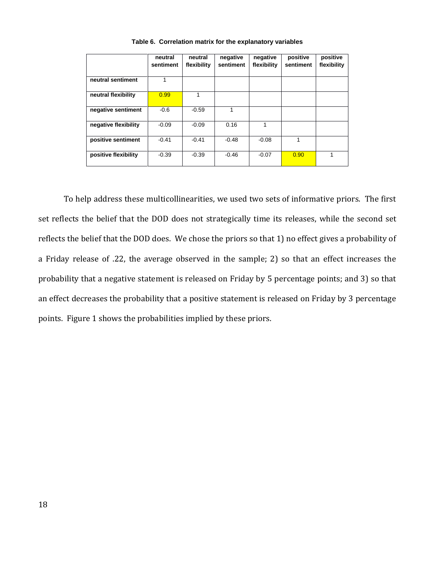|                      | neutral<br>sentiment | neutral<br>flexibility | negative<br>sentiment | negative<br>flexibility | positive<br>sentiment | positive<br>flexibility |
|----------------------|----------------------|------------------------|-----------------------|-------------------------|-----------------------|-------------------------|
| neutral sentiment    | 1                    |                        |                       |                         |                       |                         |
| neutral flexibility  | 0.99                 |                        |                       |                         |                       |                         |
| negative sentiment   | $-0.6$               | $-0.59$                |                       |                         |                       |                         |
| negative flexibility | $-0.09$              | $-0.09$                | 0.16                  | 1                       |                       |                         |
| positive sentiment   | $-0.41$              | $-0.41$                | $-0.48$               | $-0.08$                 | 1                     |                         |
| positive flexibility | $-0.39$              | $-0.39$                | $-0.46$               | $-0.07$                 | 0.90                  |                         |

**Table 6. Correlation matrix for the explanatory variables**

To help address these multicollinearities, we used two sets of informative priors. The first set reflects the belief that the DOD does not strategically time its releases, while the second set reflects the belief that the DOD does. We chose the priors so that 1) no effect gives a probability of a Friday release of .22, the average observed in the sample; 2) so that an effect increases the probability that a negative statement is released on Friday by 5 percentage points; and 3) so that an effect decreases the probability that a positive statement is released on Friday by 3 percentage points. Figure 1 shows the probabilities implied by these priors.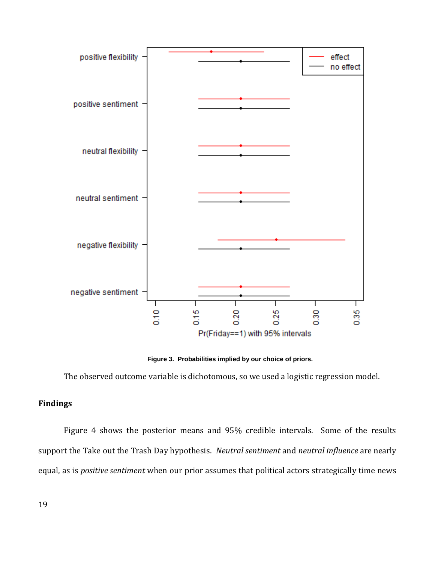

**Figure 3. Probabilities implied by our choice of priors.**

The observed outcome variable is dichotomous, so we used a logistic regression model.

# **Findings**

Figure 4 shows the posterior means and 95% credible intervals. Some of the results support the Take out the Trash Day hypothesis. *Neutral sentiment* and *neutral influence* are nearly equal, as is *positive sentiment* when our prior assumes that political actors strategically time news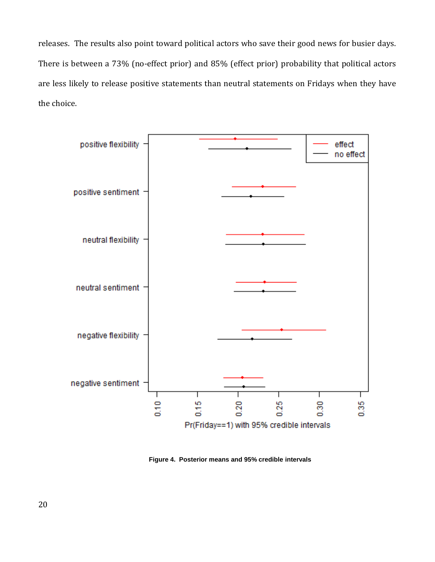releases. The results also point toward political actors who save their good news for busier days. There is between a 73% (no-effect prior) and 85% (effect prior) probability that political actors are less likely to release positive statements than neutral statements on Fridays when they have the choice.



**Figure 4. Posterior means and 95% credible intervals**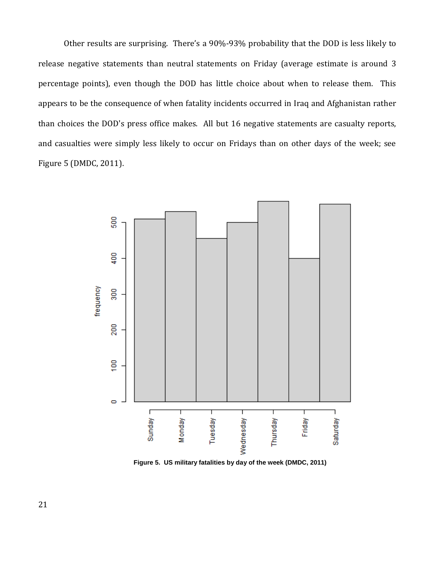Other results are surprising. There's a 90%-93% probability that the DOD is less likely to release negative statements than neutral statements on Friday (average estimate is around 3 percentage points), even though the DOD has little choice about when to release them. This appears to be the consequence of when fatality incidents occurred in Iraq and Afghanistan rather than choices the DOD's press office makes. All but 16 negative statements are casualty reports, and casualties were simply less likely to occur on Fridays than on other days of the week; see Figure 5 (DMDC, 2011).



**Figure 5. US military fatalities by day of the week (DMDC, 2011)**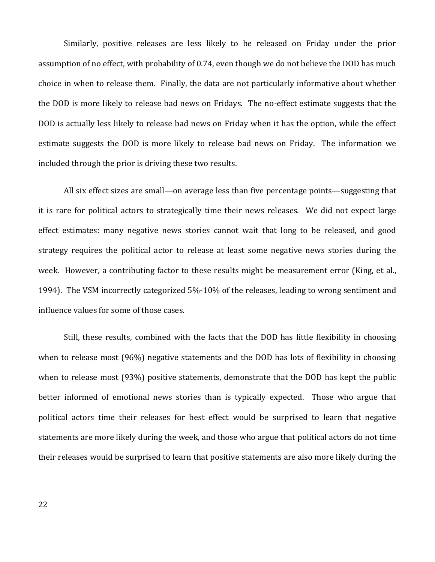Similarly, positive releases are less likely to be released on Friday under the prior assumption of no effect, with probability of 0.74, even though we do not believe the DOD has much choice in when to release them. Finally, the data are not particularly informative about whether the DOD is more likely to release bad news on Fridays. The no-effect estimate suggests that the DOD is actually less likely to release bad news on Friday when it has the option, while the effect estimate suggests the DOD is more likely to release bad news on Friday. The information we included through the prior is driving these two results.

All six effect sizes are small—on average less than five percentage points—suggesting that it is rare for political actors to strategically time their news releases. We did not expect large effect estimates: many negative news stories cannot wait that long to be released, and good strategy requires the political actor to release at least some negative news stories during the week. However, a contributing factor to these results might be measurement error (King, et al., 1994). The VSM incorrectly categorized 5%-10% of the releases, leading to wrong sentiment and influence values for some of those cases.

Still, these results, combined with the facts that the DOD has little flexibility in choosing when to release most (96%) negative statements and the DOD has lots of flexibility in choosing when to release most (93%) positive statements, demonstrate that the DOD has kept the public better informed of emotional news stories than is typically expected. Those who argue that political actors time their releases for best effect would be surprised to learn that negative statements are more likely during the week, and those who argue that political actors do not time their releases would be surprised to learn that positive statements are also more likely during the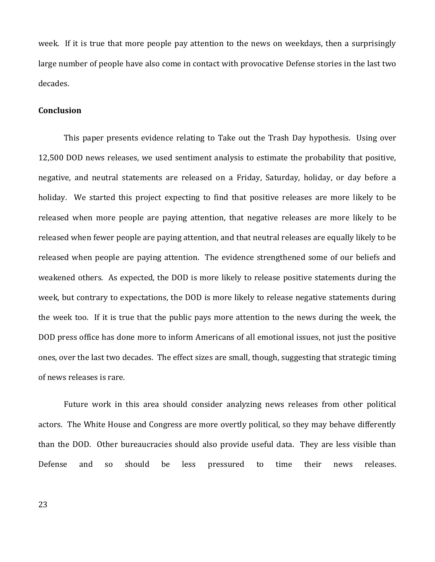week. If it is true that more people pay attention to the news on weekdays, then a surprisingly large number of people have also come in contact with provocative Defense stories in the last two decades.

# **Conclusion**

This paper presents evidence relating to Take out the Trash Day hypothesis. Using over 12,500 DOD news releases, we used sentiment analysis to estimate the probability that positive, negative, and neutral statements are released on a Friday, Saturday, holiday, or day before a holiday. We started this project expecting to find that positive releases are more likely to be released when more people are paying attention, that negative releases are more likely to be released when fewer people are paying attention, and that neutral releases are equally likely to be released when people are paying attention. The evidence strengthened some of our beliefs and weakened others. As expected, the DOD is more likely to release positive statements during the week, but contrary to expectations, the DOD is more likely to release negative statements during the week too. If it is true that the public pays more attention to the news during the week, the DOD press office has done more to inform Americans of all emotional issues, not just the positive ones, over the last two decades. The effect sizes are small, though, suggesting that strategic timing of news releases is rare.

Future work in this area should consider analyzing news releases from other political actors. The White House and Congress are more overtly political, so they may behave differently than the DOD. Other bureaucracies should also provide useful data. They are less visible than Defense and so should be less pressured to time their news releases.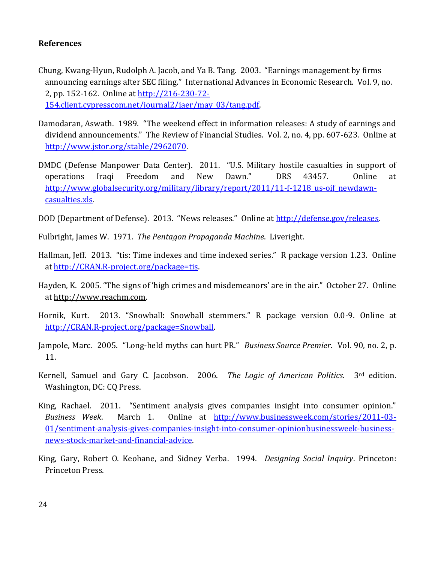# **References**

- Chung, Kwang-Hyun, Rudolph A. Jacob, and Ya B. Tang. 2003. "Earnings management by firms announcing earnings after SEC filing." International Advances in Economic Research. Vol. 9, no. 2, pp. 152-162. Online at [http://216-230-72-](http://216-230-72-154.client.cypresscom.net/journal2/iaer/may_03/tang.pdf) [154.client.cypresscom.net/journal2/iaer/may\\_03/tang.pdf.](http://216-230-72-154.client.cypresscom.net/journal2/iaer/may_03/tang.pdf)
- Damodaran, Aswath. 1989. "The weekend effect in information releases: A study of earnings and dividend announcements." The Review of Financial Studies. Vol. 2, no. 4, pp. 607-623. Online at [http://www.jstor.org/stable/2962070.](http://www.jstor.org/stable/2962070)
- DMDC (Defense Manpower Data Center). 2011. "U.S. Military hostile casualties in support of operations Iraqi Freedom and New Dawn." DRS 43457. Online at http://www.globalsecurity.org/military/library/report/2011/11-f-1218 us-oif newdawn[casualties.xls.](http://www.globalsecurity.org/military/library/report/2011/11-f-1218_us-oif_newdawn-casualties.xls)
- DOD (Department of Defense). 2013. "News releases." Online at [http://defense.gov/releases.](http://defense.gov/releases)
- Fulbright, James W. 1971. *The Pentagon Propaganda Machine*. Liveright.
- Hallman, Jeff. 2013. "tis: Time indexes and time indexed series." R package version 1.23. Online at [http://CRAN.R-project.org/package=tis.](http://cran.r-project.org/package=tis)
- Hayden, K. 2005. "The signs of 'high crimes and misdemeanors' are in the air." October 27. Online at [http://www.reachm.com.](http://www.reachm.com/)
- Hornik, Kurt. 2013. "Snowball: Snowball stemmers." R package version 0.0-9. Online at [http://CRAN.R-project.org/package=Snowball.](http://cran.r-project.org/package=Snowball)
- Jampole, Marc. 2005. "Long-held myths can hurt PR." *Business Source Premier*. Vol. 90, no. 2, p. 11.
- Kernell, Samuel and Gary C. Jacobson. 2006. *The Logic of American Politics*. 3rd edition. Washington, DC: CQ Press.
- King, Rachael. 2011. "Sentiment analysis gives companies insight into consumer opinion." *Business Week*. March 1. Online at [http://www.businessweek.com/stories/2011-03-](http://www.businessweek.com/stories/2011-03-01/sentiment-analysis-gives-companies-insight-into-consumer-opinionbusinessweek-business-news-stock-market-and-financial-advice) [01/sentiment-analysis-gives-companies-insight-into-consumer-opinionbusinessweek-business](http://www.businessweek.com/stories/2011-03-01/sentiment-analysis-gives-companies-insight-into-consumer-opinionbusinessweek-business-news-stock-market-and-financial-advice)[news-stock-market-and-financial-advice.](http://www.businessweek.com/stories/2011-03-01/sentiment-analysis-gives-companies-insight-into-consumer-opinionbusinessweek-business-news-stock-market-and-financial-advice)
- King, Gary, Robert O. Keohane, and Sidney Verba. 1994. *Designing Social Inquiry*. Princeton: Princeton Press.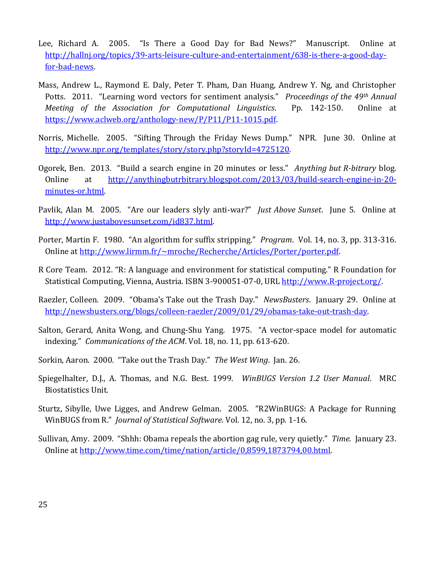- Lee, Richard A. 2005. "Is There a Good Day for Bad News?" Manuscript. Online at [http://hallnj.org/topics/39-arts-leisure-culture-and-entertainment/638-is-there-a-good-day](http://hallnj.org/topics/39-arts-leisure-culture-and-entertainment/638-is-there-a-good-day-for-bad-news)[for-bad-news.](http://hallnj.org/topics/39-arts-leisure-culture-and-entertainment/638-is-there-a-good-day-for-bad-news)
- Mass, Andrew L., Raymond E. Daly, Peter T. Pham, Dan Huang, Andrew Y. Ng, and Christopher Potts. 2011. "Learning word vectors for sentiment analysis." *Proceedings of the 49th Annual Meeting of the Association for Computational Linguistics*. Pp. 142-150. Online at [https://www.aclweb.org/anthology-new/P/P11/P11-1015.pdf.](https://www.aclweb.org/anthology-new/P/P11/P11-1015.pdf)
- Norris, Michelle. 2005. "Sifting Through the Friday News Dump." NPR. June 30. Online at [http://www.npr.org/templates/story/story.php?storyId=4725120.](http://www.npr.org/templates/story/story.php?storyId=4725120)
- Ogorek, Ben. 2013. "Build a search engine in 20 minutes or less." *Anything but R-bitrary* blog. Online at [http://anythingbutrbitrary.blogspot.com/2013/03/build-search-engine-in-20](http://anythingbutrbitrary.blogspot.com/2013/03/build-search-engine-in-20-minutes-or.html) [minutes-or.html.](http://anythingbutrbitrary.blogspot.com/2013/03/build-search-engine-in-20-minutes-or.html)
- Pavlik, Alan M. 2005. "Are our leaders slyly anti-war?" *Just Above Sunset*. June 5. Online at [http://www.justabovesunset.com/id837.html.](http://www.justabovesunset.com/id837.html)
- Porter, Martin F. 1980. "An algorithm for suffix stripping." *Program*. Vol. 14, no. 3, pp. 313-316. Online at [http://www.lirmm.fr/~mroche/Recherche/Articles/Porter/porter.pdf.](http://www.lirmm.fr/~mroche/Recherche/Articles/Porter/porter.pdf)
- R Core Team. 2012. "R: A language and environment for statistical computing." R Foundation for Statistical Computing, Vienna, Austria. ISBN 3-900051-07-0, URL [http://www.R-project.org/.](http://www.r-project.org/)
- Raezler, Colleen. 2009. "Obama's Take out the Trash Day." *NewsBusters*. January 29. Online at [http://newsbusters.org/blogs/colleen-raezler/2009/01/29/obamas-take-out-trash-day.](http://newsbusters.org/blogs/colleen-raezler/2009/01/29/obamas-take-out-trash-day)
- Salton, Gerard, Anita Wong, and Chung-Shu Yang. 1975. "A vector-space model for automatic indexing." *Communications of the ACM*. Vol. 18, no. 11, pp. 613-620.
- Sorkin, Aaron. 2000. "Take out the Trash Day." *The West Wing*. Jan. 26.
- Spiegelhalter, D.J., A. Thomas, and N.G. Best. 1999. *WinBUGS Version 1.2 User Manual*. MRC Biostatistics Unit.
- Sturtz, Sibylle, Uwe Ligges, and Andrew Gelman. 2005. "R2WinBUGS: A Package for Running WinBUGS from R." *Journal of Statistical Software*. Vol. 12, no. 3, pp. 1-16.
- Sullivan, Amy. 2009. "Shhh: Obama repeals the abortion gag rule, very quietly." *Time.* January 23. Online at [http://www.time.com/time/nation/article/0,8599,1873794,00.html.](http://www.time.com/time/nation/article/0,8599,1873794,00.html)